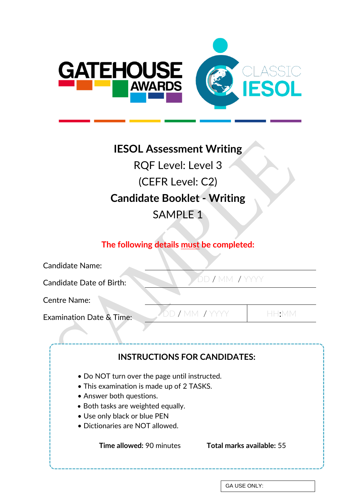

# **IESOL Assessment Writing**

RQF Level: Level 3 (CEFR Level: C2) **Candidate Booklet - Writing** SAMPLE 1

# **The following details must be completed:**

| <b>Candidate Name:</b>                                         |                           |
|----------------------------------------------------------------|---------------------------|
| <b>Candidate Date of Birth:</b>                                | DD / MM / YYYY            |
| <b>Centre Name:</b>                                            |                           |
| DD / MM / YYYY<br><b>Examination Date &amp; Time:</b>          | HH:MM                     |
|                                                                |                           |
| <b>INSTRUCTIONS FOR CANDIDATES:</b>                            |                           |
| • Do NOT turn over the page until instructed.                  |                           |
| • This examination is made up of 2 TASKS.                      |                           |
| • Answer both questions.<br>• Both tasks are weighted equally. |                           |
| • Use only black or blue PEN                                   |                           |
| • Dictionaries are NOT allowed.                                |                           |
| <b>Time allowed: 90 minutes</b>                                | Total marks available: 55 |
|                                                                |                           |
|                                                                |                           |

GA USE ONLY: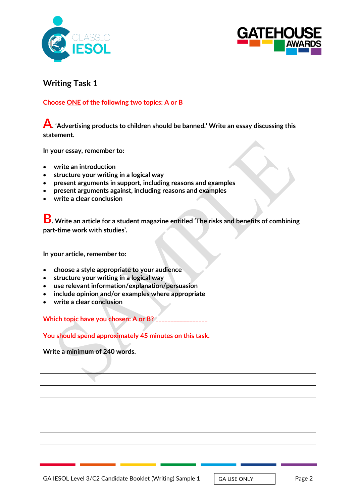



## **Writing Task 1**

#### **Choose ONE of the following two topics: A or B**

**A. 'Advertising products to children should be banned.' Write an essay discussing this statement.**

**In your essay, remember to:**

- **write an introduction**
- **structure your writing in a logical way**
- **present arguments in support, including reasons and examples**
- **present arguments against, including reasons and examples**
- **write a clear conclusion**

**B. Write an article for a student magazine entitled 'The risks and benefits of combining part-time work with studies'.**

**In your article, remember to:**

- **choose a style appropriate to your audience**
- **structure your writing in a logical way**
- **use relevant information/explanation/persuasion**
- **include opinion and/or examples where appropriate**
- **write a clear conclusion**

Which topic have you chosen: A or B?

**You should spend approximately 45 minutes on this task.** 

**Write a minimum of 240 words.**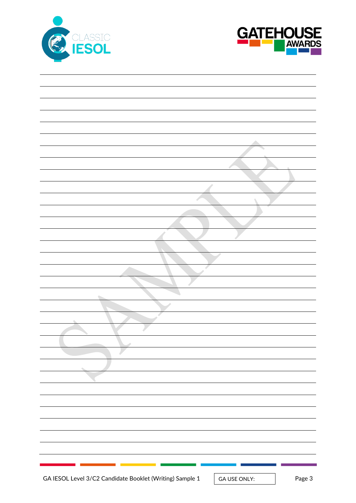



| GA IESOL Level 3/C2 Candidate Booklet (Writing) Sample 1<br><b>GA USE ONLY:</b> | Page 3 |
|---------------------------------------------------------------------------------|--------|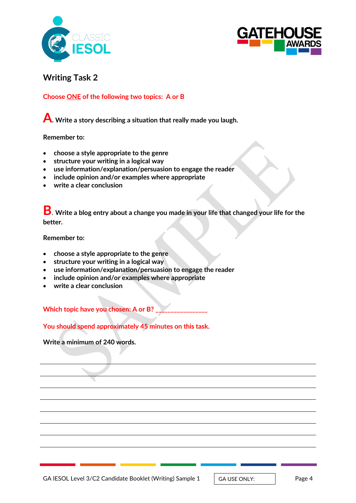



## **Writing Task 2**

**Choose ONE of the following two topics: A or B**

**A. Write a story describing a situation that really made you laugh.**

#### **Remember to:**

- **choose a style appropriate to the genre**
- **structure your writing in a logical way**
- **use information/explanation/persuasion to engage the reader**
- **include opinion and/or examples where appropriate**
- **write a clear conclusion**

**B**. **Write a blog entry about a change you made in your life that changed your life for the better.**

**Remember to:**

- **choose a style appropriate to the genre**
- **structure your writing in a logical way**
- **use information/explanation/persuasion to engage the reader**
- **include opinion and/or examples where appropriate**
- **write a clear conclusion**

Which topic have you chosen: A or B?

**You should spend approximately 45 minutes on this task.** 

**Write a minimum of 240 words.**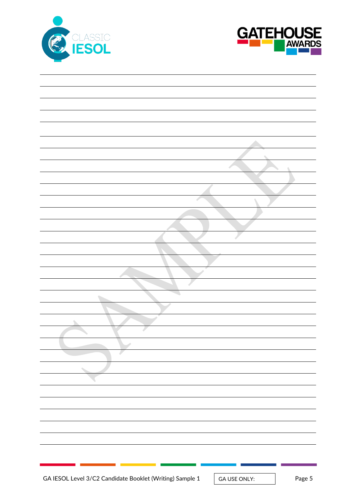



| $\mathcal{L}$                                                                                                                                                                                                                     |
|-----------------------------------------------------------------------------------------------------------------------------------------------------------------------------------------------------------------------------------|
|                                                                                                                                                                                                                                   |
|                                                                                                                                                                                                                                   |
|                                                                                                                                                                                                                                   |
|                                                                                                                                                                                                                                   |
|                                                                                                                                                                                                                                   |
|                                                                                                                                                                                                                                   |
|                                                                                                                                                                                                                                   |
|                                                                                                                                                                                                                                   |
|                                                                                                                                                                                                                                   |
|                                                                                                                                                                                                                                   |
| and the control of the control of the control of the control of the control of the control of the control of the<br>the control of the control of the control of<br><b>Contract Contract</b><br>the control of the control of the |

GA IESOL Level 3/C2 Candidate Booklet (Writing) Sample 1 | GA USE ONLY: | Page 5